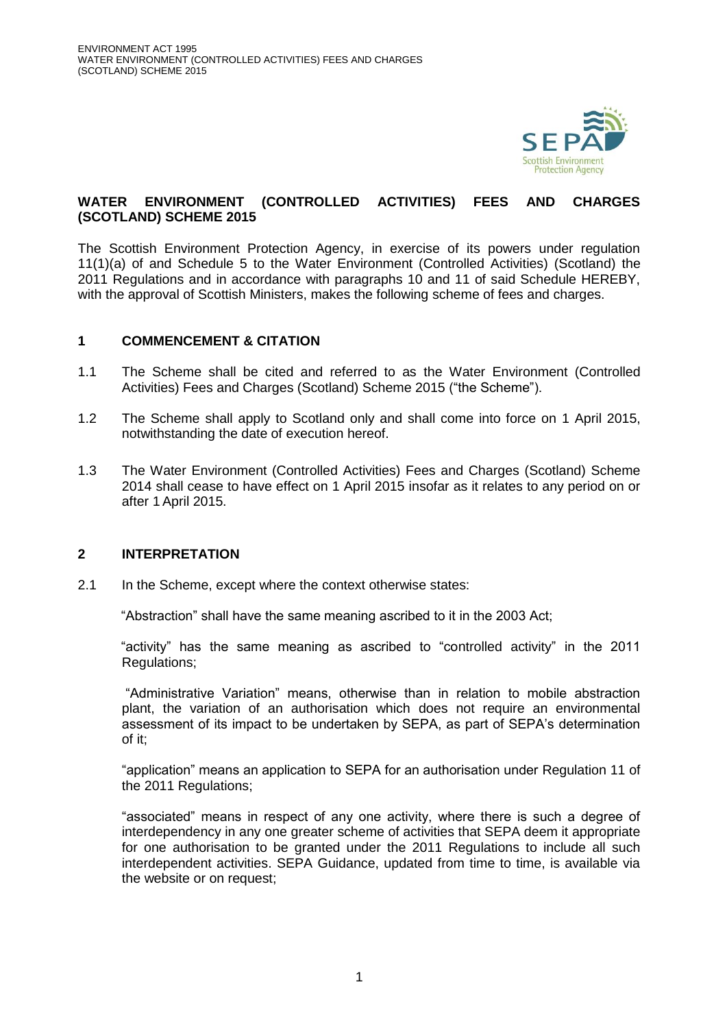

## **WATER ENVIRONMENT (CONTROLLED ACTIVITIES) FEES AND CHARGES (SCOTLAND) SCHEME 2015**

The Scottish Environment Protection Agency, in exercise of its powers under regulation 11(1)(a) of and Schedule 5 to the Water Environment (Controlled Activities) (Scotland) the 2011 Regulations and in accordance with paragraphs 10 and 11 of said Schedule HEREBY, with the approval of Scottish Ministers, makes the following scheme of fees and charges.

### **1 COMMENCEMENT & CITATION**

- 1.1 The Scheme shall be cited and referred to as the Water Environment (Controlled Activities) Fees and Charges (Scotland) Scheme 2015 ("the Scheme").
- 1.2 The Scheme shall apply to Scotland only and shall come into force on 1 April 2015, notwithstanding the date of execution hereof.
- 1.3 The Water Environment (Controlled Activities) Fees and Charges (Scotland) Scheme 2014 shall cease to have effect on 1 April 2015 insofar as it relates to any period on or after 1 April 2015.

#### **2 INTERPRETATION**

2.1 In the Scheme, except where the context otherwise states:

"Abstraction" shall have the same meaning ascribed to it in the 2003 Act;

"activity" has the same meaning as ascribed to "controlled activity" in the 2011 Regulations;

"Administrative Variation" means, otherwise than in relation to mobile abstraction plant, the variation of an authorisation which does not require an environmental assessment of its impact to be undertaken by SEPA, as part of SEPA's determination of it;

"application" means an application to SEPA for an authorisation under Regulation 11 of the 2011 Regulations;

"associated" means in respect of any one activity, where there is such a degree of interdependency in any one greater scheme of activities that SEPA deem it appropriate for one authorisation to be granted under the 2011 Regulations to include all such interdependent activities. SEPA Guidance, updated from time to time, is available via the website or on request;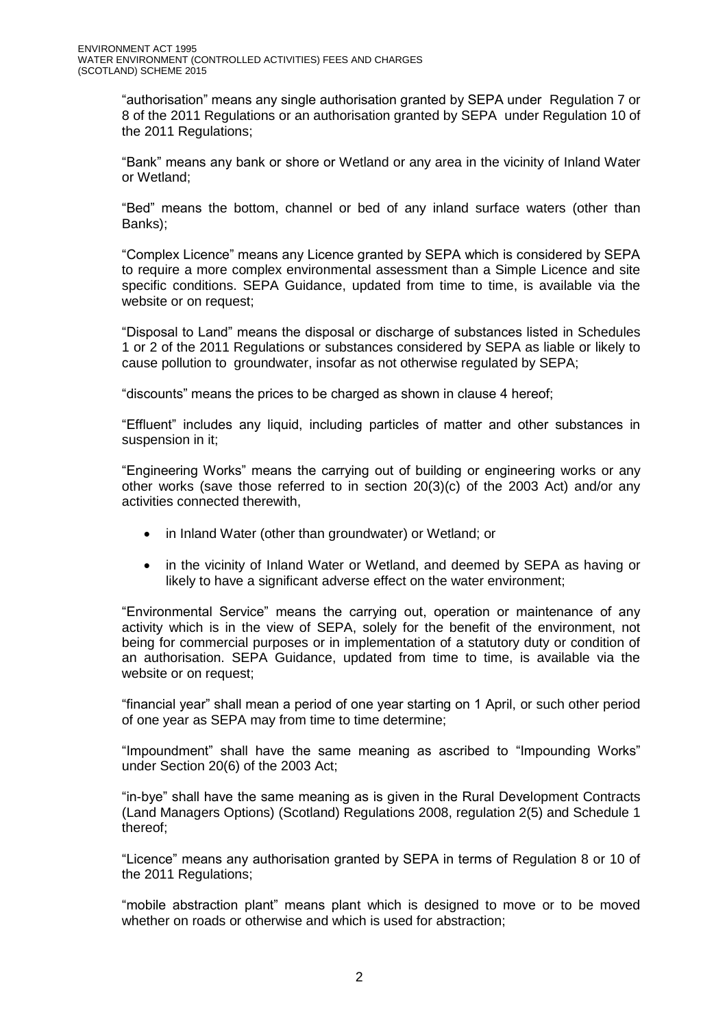"authorisation" means any single authorisation granted by SEPA under Regulation 7 or 8 of the 2011 Regulations or an authorisation granted by SEPA under Regulation 10 of the 2011 Regulations;

"Bank" means any bank or shore or Wetland or any area in the vicinity of Inland Water or Wetland;

"Bed" means the bottom, channel or bed of any inland surface waters (other than Banks);

"Complex Licence" means any Licence granted by SEPA which is considered by SEPA to require a more complex environmental assessment than a Simple Licence and site specific conditions. SEPA Guidance, updated from time to time, is available via the website or on request;

"Disposal to Land" means the disposal or discharge of substances listed in Schedules 1 or 2 of the 2011 Regulations or substances considered by SEPA as liable or likely to cause pollution to groundwater, insofar as not otherwise regulated by SEPA;

"discounts" means the prices to be charged as shown in clause 4 hereof;

"Effluent" includes any liquid, including particles of matter and other substances in suspension in it;

"Engineering Works" means the carrying out of building or engineering works or any other works (save those referred to in section 20(3)(c) of the 2003 Act) and/or any activities connected therewith,

- in Inland Water (other than groundwater) or Wetland; or
- in the vicinity of Inland Water or Wetland, and deemed by SEPA as having or likely to have a significant adverse effect on the water environment;

"Environmental Service" means the carrying out, operation or maintenance of any activity which is in the view of SEPA, solely for the benefit of the environment, not being for commercial purposes or in implementation of a statutory duty or condition of an authorisation. SEPA Guidance, updated from time to time, is available via the website or on request;

"financial year" shall mean a period of one year starting on 1 April, or such other period of one year as SEPA may from time to time determine;

"Impoundment" shall have the same meaning as ascribed to "Impounding Works" under Section 20(6) of the 2003 Act;

"in-bye" shall have the same meaning as is given in the Rural Development Contracts (Land Managers Options) (Scotland) Regulations 2008, regulation 2(5) and Schedule 1 thereof;

"Licence" means any authorisation granted by SEPA in terms of Regulation 8 or 10 of the 2011 Regulations;

"mobile abstraction plant" means plant which is designed to move or to be moved whether on roads or otherwise and which is used for abstraction: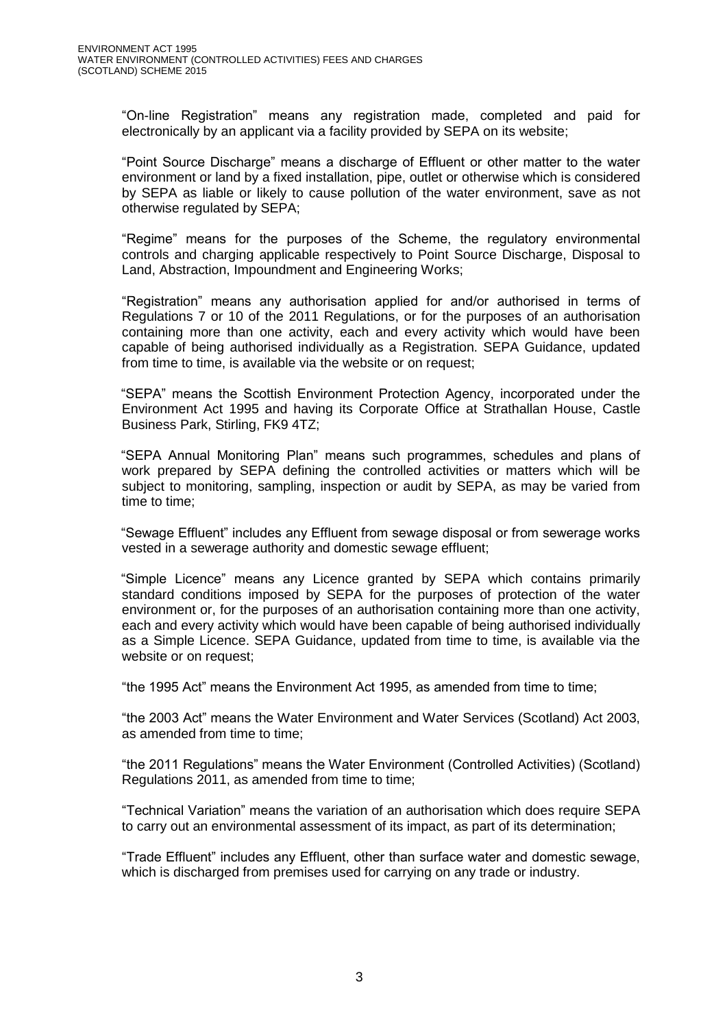"On-line Registration" means any registration made, completed and paid for electronically by an applicant via a facility provided by SEPA on its website;

"Point Source Discharge" means a discharge of Effluent or other matter to the water environment or land by a fixed installation, pipe, outlet or otherwise which is considered by SEPA as liable or likely to cause pollution of the water environment, save as not otherwise regulated by SEPA;

"Regime" means for the purposes of the Scheme, the regulatory environmental controls and charging applicable respectively to Point Source Discharge, Disposal to Land, Abstraction, Impoundment and Engineering Works;

"Registration" means any authorisation applied for and/or authorised in terms of Regulations 7 or 10 of the 2011 Regulations, or for the purposes of an authorisation containing more than one activity, each and every activity which would have been capable of being authorised individually as a Registration. SEPA Guidance, updated from time to time, is available via the website or on request;

"SEPA" means the Scottish Environment Protection Agency, incorporated under the Environment Act 1995 and having its Corporate Office at Strathallan House, Castle Business Park, Stirling, FK9 4TZ;

"SEPA Annual Monitoring Plan" means such programmes, schedules and plans of work prepared by SEPA defining the controlled activities or matters which will be subject to monitoring, sampling, inspection or audit by SEPA, as may be varied from time to time;

"Sewage Effluent" includes any Effluent from sewage disposal or from sewerage works vested in a sewerage authority and domestic sewage effluent;

"Simple Licence" means any Licence granted by SEPA which contains primarily standard conditions imposed by SEPA for the purposes of protection of the water environment or, for the purposes of an authorisation containing more than one activity, each and every activity which would have been capable of being authorised individually as a Simple Licence. SEPA Guidance, updated from time to time, is available via the website or on request;

"the 1995 Act" means the Environment Act 1995, as amended from time to time;

"the 2003 Act" means the Water Environment and Water Services (Scotland) Act 2003, as amended from time to time;

"the 2011 Regulations" means the Water Environment (Controlled Activities) (Scotland) Regulations 2011, as amended from time to time;

"Technical Variation" means the variation of an authorisation which does require SEPA to carry out an environmental assessment of its impact, as part of its determination;

"Trade Effluent" includes any Effluent, other than surface water and domestic sewage, which is discharged from premises used for carrying on any trade or industry.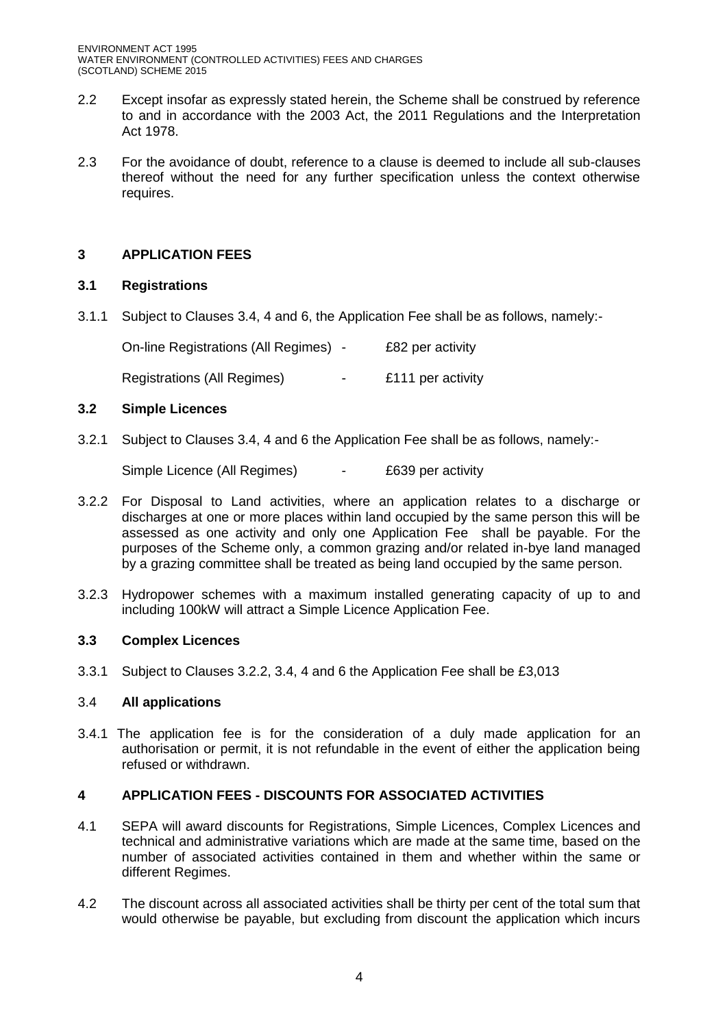- 2.2 Except insofar as expressly stated herein, the Scheme shall be construed by reference to and in accordance with the 2003 Act, the 2011 Regulations and the Interpretation Act 1978.
- 2.3 For the avoidance of doubt, reference to a clause is deemed to include all sub-clauses thereof without the need for any further specification unless the context otherwise requires.

# **3 APPLICATION FEES**

## **3.1 Registrations**

3.1.1 Subject to Clauses 3.4, 4 and 6, the Application Fee shall be as follows, namely:-

| On-line Registrations (All Regimes) - |                          | £82 per activity  |
|---------------------------------------|--------------------------|-------------------|
| Registrations (All Regimes)           | $\overline{\phantom{0}}$ | £111 per activity |

## **3.2 Simple Licences**

3.2.1 Subject to Clauses 3.4, 4 and 6 the Application Fee shall be as follows, namely:-

Simple Licence (All Regimes) - £639 per activity

- 3.2.2 For Disposal to Land activities, where an application relates to a discharge or discharges at one or more places within land occupied by the same person this will be assessed as one activity and only one Application Fee shall be payable. For the purposes of the Scheme only, a common grazing and/or related in-bye land managed by a grazing committee shall be treated as being land occupied by the same person.
- 3.2.3 Hydropower schemes with a maximum installed generating capacity of up to and including 100kW will attract a Simple Licence Application Fee.

## **3.3 Complex Licences**

3.3.1 Subject to Clauses 3.2.2, 3.4, 4 and 6 the Application Fee shall be £3,013

## 3.4 **All applications**

3.4.1 The application fee is for the consideration of a duly made application for an authorisation or permit, it is not refundable in the event of either the application being refused or withdrawn.

## **4 APPLICATION FEES - DISCOUNTS FOR ASSOCIATED ACTIVITIES**

- 4.1 SEPA will award discounts for Registrations, Simple Licences, Complex Licences and technical and administrative variations which are made at the same time, based on the number of associated activities contained in them and whether within the same or different Regimes.
- 4.2 The discount across all associated activities shall be thirty per cent of the total sum that would otherwise be payable, but excluding from discount the application which incurs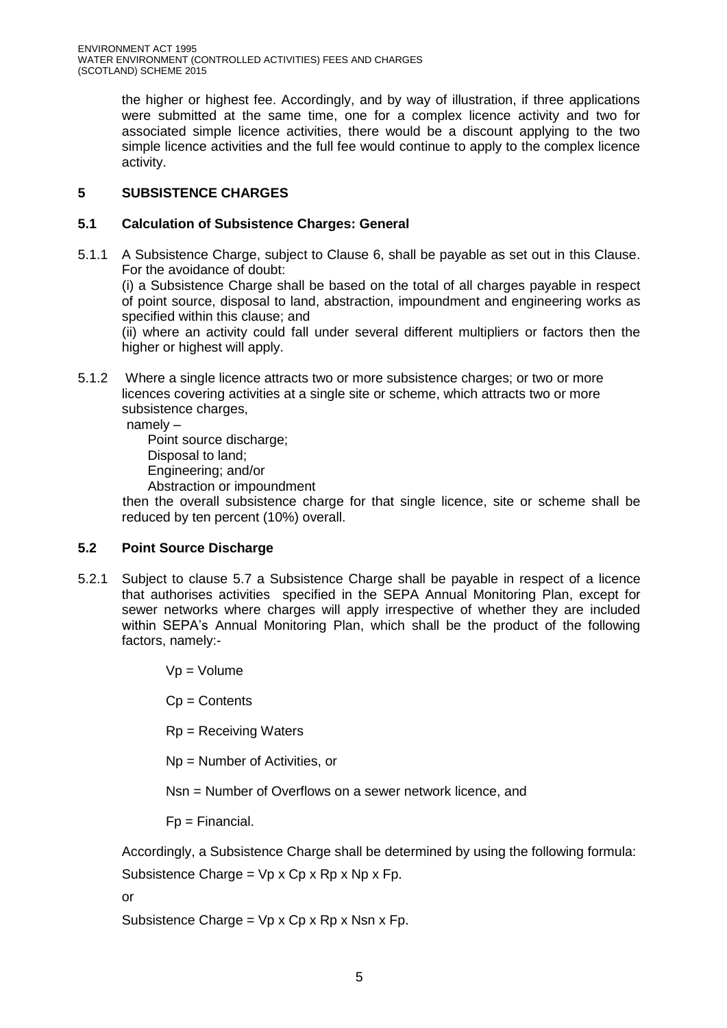the higher or highest fee. Accordingly, and by way of illustration, if three applications were submitted at the same time, one for a complex licence activity and two for associated simple licence activities, there would be a discount applying to the two simple licence activities and the full fee would continue to apply to the complex licence activity.

# **5 SUBSISTENCE CHARGES**

# **5.1 Calculation of Subsistence Charges: General**

5.1.1 A Subsistence Charge, subject to Clause 6, shall be payable as set out in this Clause. For the avoidance of doubt:

(i) a Subsistence Charge shall be based on the total of all charges payable in respect of point source, disposal to land, abstraction, impoundment and engineering works as specified within this clause; and

(ii) where an activity could fall under several different multipliers or factors then the higher or highest will apply.

5.1.2 Where a single licence attracts two or more subsistence charges; or two or more licences covering activities at a single site or scheme, which attracts two or more subsistence charges,

namely –

Point source discharge; Disposal to land; Engineering; and/or

Abstraction or impoundment

 then the overall subsistence charge for that single licence, site or scheme shall be reduced by ten percent (10%) overall.

# **5.2 Point Source Discharge**

5.2.1 Subject to clause 5.7 a Subsistence Charge shall be payable in respect of a licence that authorises activities specified in the SEPA Annual Monitoring Plan, except for sewer networks where charges will apply irrespective of whether they are included within SEPA's Annual Monitoring Plan, which shall be the product of the following factors, namely:-

 $Vp = Volume$ 

Cp = Contents

Rp = Receiving Waters

Np = Number of Activities, or

Nsn = Number of Overflows on a sewer network licence, and

Fp = Financial.

Accordingly, a Subsistence Charge shall be determined by using the following formula:

Subsistence Charge =  $Vp \times Cp \times Rp \times Np \times Fp$ .

or

Subsistence Charge =  $Vp \times Cp \times Rp \times Nsn \times Fp$ .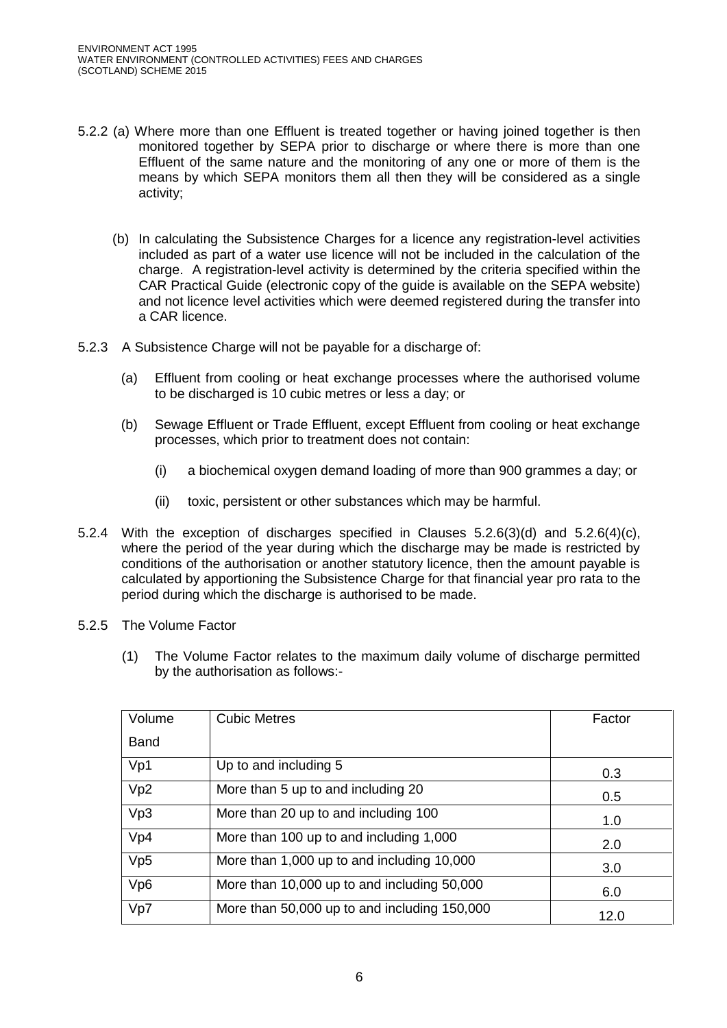- 5.2.2 (a) Where more than one Effluent is treated together or having joined together is then monitored together by SEPA prior to discharge or where there is more than one Effluent of the same nature and the monitoring of any one or more of them is the means by which SEPA monitors them all then they will be considered as a single activity;
	- (b) In calculating the Subsistence Charges for a licence any registration-level activities included as part of a water use licence will not be included in the calculation of the charge. A registration-level activity is determined by the criteria specified within the CAR Practical Guide (electronic copy of the guide is available on the SEPA website) and not licence level activities which were deemed registered during the transfer into a CAR licence.
- 5.2.3 A Subsistence Charge will not be payable for a discharge of:
	- (a) Effluent from cooling or heat exchange processes where the authorised volume to be discharged is 10 cubic metres or less a day; or
	- (b) Sewage Effluent or Trade Effluent, except Effluent from cooling or heat exchange processes, which prior to treatment does not contain:
		- (i) a biochemical oxygen demand loading of more than 900 grammes a day; or
		- (ii) toxic, persistent or other substances which may be harmful.
- 5.2.4 With the exception of discharges specified in Clauses 5.2.6(3)(d) and 5.2.6(4)(c), where the period of the year during which the discharge may be made is restricted by conditions of the authorisation or another statutory licence, then the amount payable is calculated by apportioning the Subsistence Charge for that financial year pro rata to the period during which the discharge is authorised to be made.
- 5.2.5 The Volume Factor
	- (1) The Volume Factor relates to the maximum daily volume of discharge permitted by the authorisation as follows:-

| Volume          | <b>Cubic Metres</b>                          | Factor |
|-----------------|----------------------------------------------|--------|
| <b>Band</b>     |                                              |        |
| Vp1             | Up to and including 5                        | 0.3    |
| Vp2             | More than 5 up to and including 20           | 0.5    |
| Vp3             | More than 20 up to and including 100         | 1.0    |
| Vp4             | More than 100 up to and including 1,000      | 2.0    |
| Vp <sub>5</sub> | More than 1,000 up to and including 10,000   | 3.0    |
| Vp6             | More than 10,000 up to and including 50,000  | 6.0    |
| Vp7             | More than 50,000 up to and including 150,000 | 12.0   |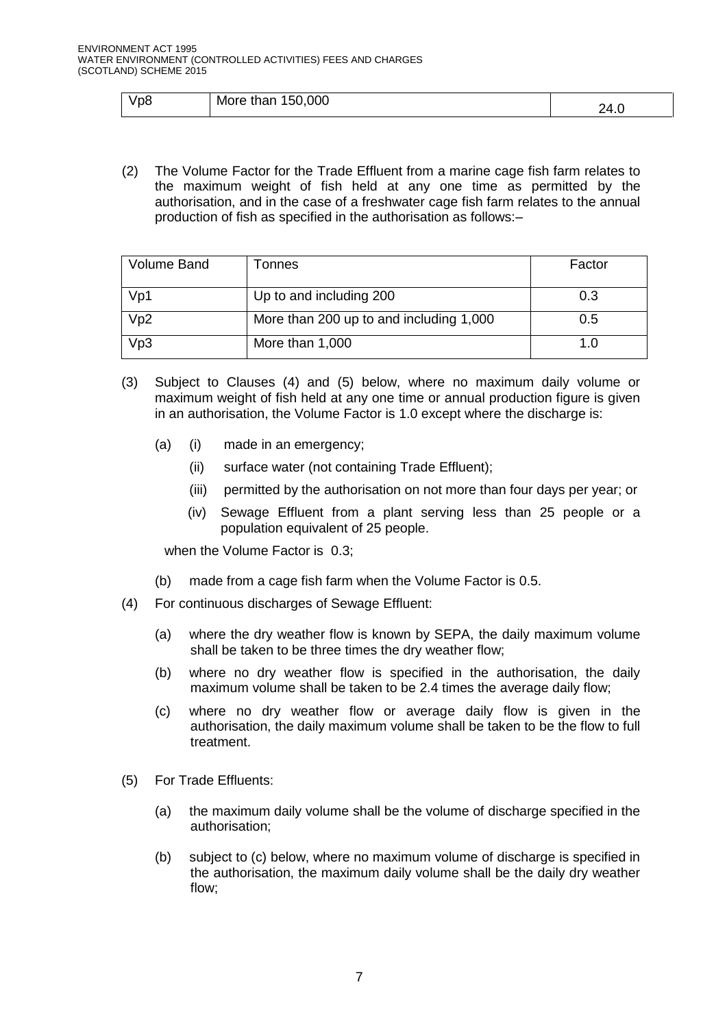| Vp8 | 150,000<br>More than | ?4.ປ |
|-----|----------------------|------|
|-----|----------------------|------|

(2) The Volume Factor for the Trade Effluent from a marine cage fish farm relates to the maximum weight of fish held at any one time as permitted by the authorisation, and in the case of a freshwater cage fish farm relates to the annual production of fish as specified in the authorisation as follows:–

| <b>Volume Band</b> | Tonnes                                  | Factor |
|--------------------|-----------------------------------------|--------|
|                    |                                         |        |
| Vp1                | Up to and including 200                 | 0.3    |
| Vp2                | More than 200 up to and including 1,000 | 0.5    |
| Vp3                | More than 1,000                         | 1.0    |

- (3) Subject to Clauses (4) and (5) below, where no maximum daily volume or maximum weight of fish held at any one time or annual production figure is given in an authorisation, the Volume Factor is 1.0 except where the discharge is:
	- (a) (i) made in an emergency;
		- (ii) surface water (not containing Trade Effluent);
		- (iii) permitted by the authorisation on not more than four days per year; or
		- (iv) Sewage Effluent from a plant serving less than 25 people or a population equivalent of 25 people.

when the Volume Factor is 0.3;

- (b) made from a cage fish farm when the Volume Factor is 0.5.
- (4) For continuous discharges of Sewage Effluent:
	- (a) where the dry weather flow is known by SEPA, the daily maximum volume shall be taken to be three times the dry weather flow;
	- (b) where no dry weather flow is specified in the authorisation, the daily maximum volume shall be taken to be 2.4 times the average daily flow;
	- (c) where no dry weather flow or average daily flow is given in the authorisation, the daily maximum volume shall be taken to be the flow to full treatment.
- (5) For Trade Effluents:
	- (a) the maximum daily volume shall be the volume of discharge specified in the authorisation;
	- (b) subject to (c) below, where no maximum volume of discharge is specified in the authorisation, the maximum daily volume shall be the daily dry weather flow;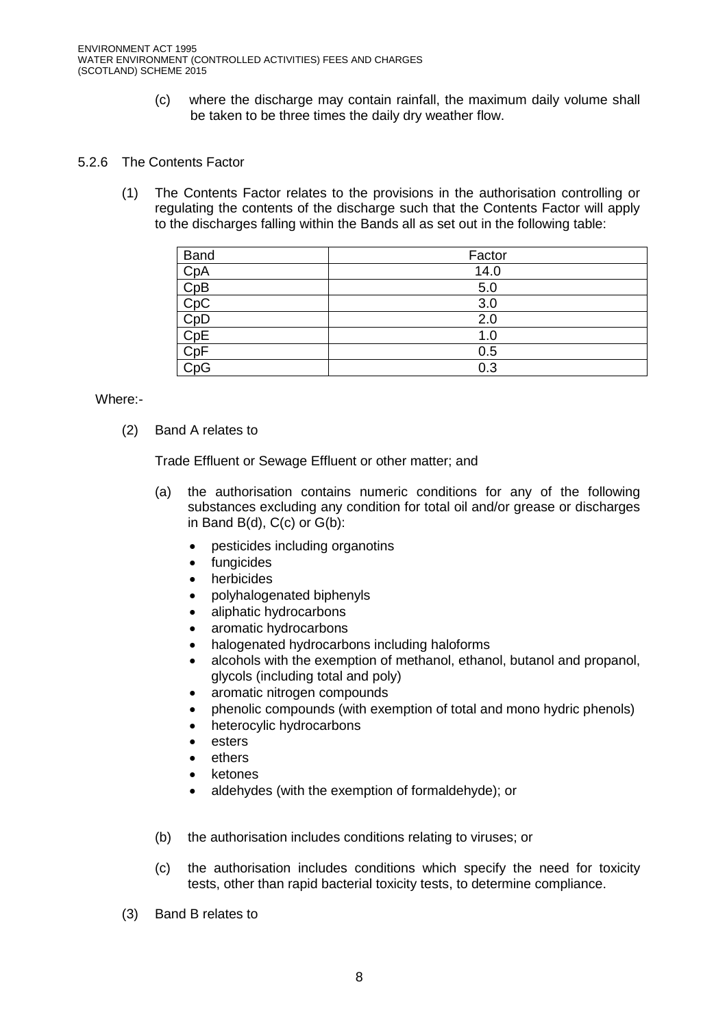(c) where the discharge may contain rainfall, the maximum daily volume shall be taken to be three times the daily dry weather flow.

### 5.2.6 The Contents Factor

(1) The Contents Factor relates to the provisions in the authorisation controlling or regulating the contents of the discharge such that the Contents Factor will apply to the discharges falling within the Bands all as set out in the following table:

| <b>Band</b> | Factor |
|-------------|--------|
| CpA         | 14.0   |
| CpB         | 5.0    |
| CpC         | 3.0    |
| CpD         | 2.0    |
| CpE         | 1.0    |
| CpF         | 0.5    |
| CpG         | 0.3    |

Where:-

(2) Band A relates to

Trade Effluent or Sewage Effluent or other matter; and

- (a) the authorisation contains numeric conditions for any of the following substances excluding any condition for total oil and/or grease or discharges in Band B(d), C(c) or G(b):
	- pesticides including organotins
	- fungicides
	- herbicides
	- polyhalogenated biphenyls
	- aliphatic hydrocarbons
	- aromatic hydrocarbons
	- halogenated hydrocarbons including haloforms
	- alcohols with the exemption of methanol, ethanol, butanol and propanol, glycols (including total and poly)
	- aromatic nitrogen compounds
	- phenolic compounds (with exemption of total and mono hydric phenols)
	- heterocylic hydrocarbons
	- esters
	- **e** ethers
	- ketones
	- aldehydes (with the exemption of formaldehyde); or
- (b) the authorisation includes conditions relating to viruses; or
- (c) the authorisation includes conditions which specify the need for toxicity tests, other than rapid bacterial toxicity tests, to determine compliance.
- (3) Band B relates to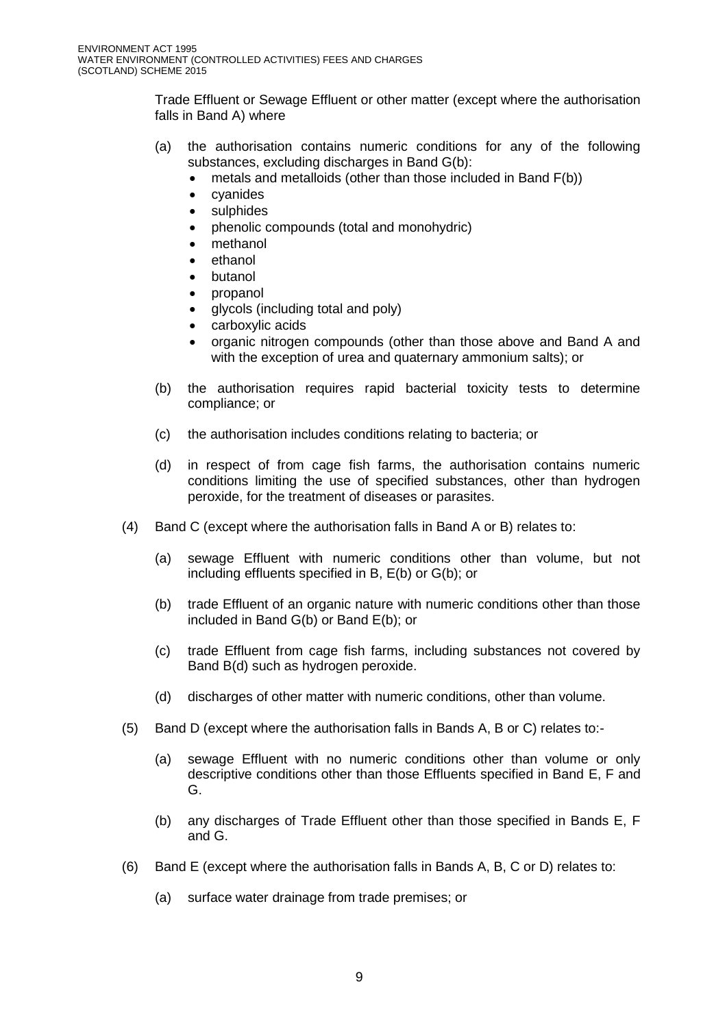Trade Effluent or Sewage Effluent or other matter (except where the authorisation falls in Band A) where

- (a) the authorisation contains numeric conditions for any of the following substances, excluding discharges in Band G(b):
	- metals and metalloids (other than those included in Band F(b))
	- cyanides
	- sulphides
	- phenolic compounds (total and monohydric)
	- methanol
	- ethanol
	- butanol
	- propanol
	- glycols (including total and poly)
	- carboxylic acids
	- organic nitrogen compounds (other than those above and Band A and with the exception of urea and quaternary ammonium salts); or
- (b) the authorisation requires rapid bacterial toxicity tests to determine compliance; or
- (c) the authorisation includes conditions relating to bacteria; or
- (d) in respect of from cage fish farms, the authorisation contains numeric conditions limiting the use of specified substances, other than hydrogen peroxide, for the treatment of diseases or parasites.
- (4) Band C (except where the authorisation falls in Band A or B) relates to:
	- (a) sewage Effluent with numeric conditions other than volume, but not including effluents specified in B, E(b) or G(b); or
	- (b) trade Effluent of an organic nature with numeric conditions other than those included in Band G(b) or Band E(b); or
	- (c) trade Effluent from cage fish farms, including substances not covered by Band B(d) such as hydrogen peroxide.
	- (d) discharges of other matter with numeric conditions, other than volume.
- (5) Band D (except where the authorisation falls in Bands A, B or C) relates to:-
	- (a) sewage Effluent with no numeric conditions other than volume or only descriptive conditions other than those Effluents specified in Band E, F and G.
	- (b) any discharges of Trade Effluent other than those specified in Bands E, F and G.
- (6) Band E (except where the authorisation falls in Bands A, B, C or D) relates to:
	- (a) surface water drainage from trade premises; or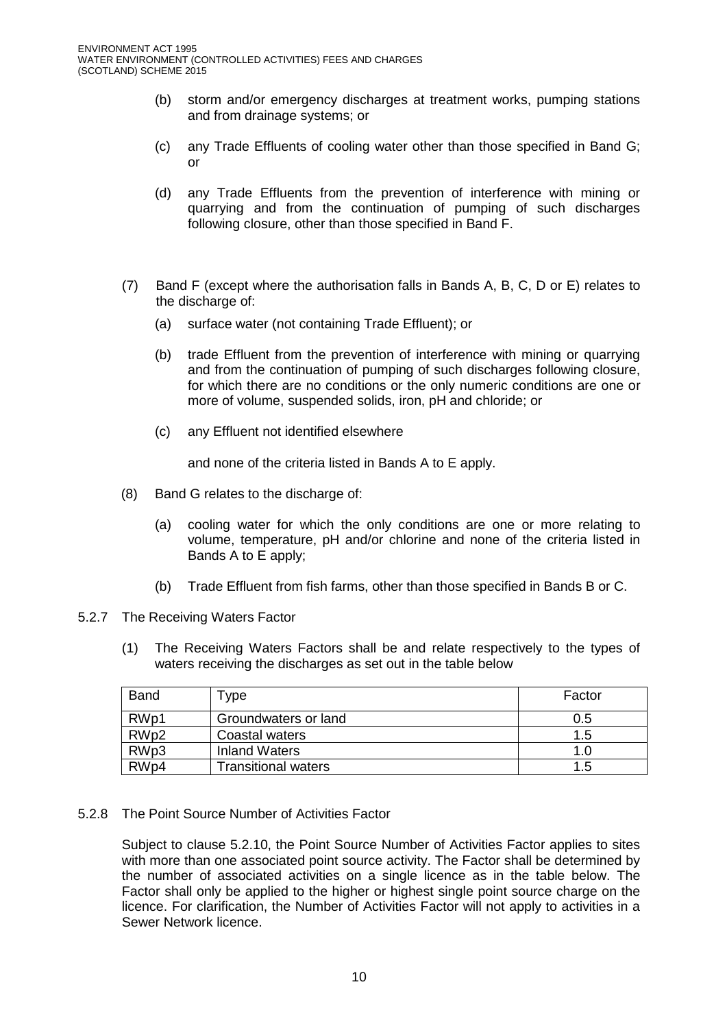- (b) storm and/or emergency discharges at treatment works, pumping stations and from drainage systems; or
- (c) any Trade Effluents of cooling water other than those specified in Band G; or
- (d) any Trade Effluents from the prevention of interference with mining or quarrying and from the continuation of pumping of such discharges following closure, other than those specified in Band F.
- (7) Band F (except where the authorisation falls in Bands A, B, C, D or E) relates to the discharge of:
	- (a) surface water (not containing Trade Effluent); or
	- (b) trade Effluent from the prevention of interference with mining or quarrying and from the continuation of pumping of such discharges following closure, for which there are no conditions or the only numeric conditions are one or more of volume, suspended solids, iron, pH and chloride; or
	- (c) any Effluent not identified elsewhere

and none of the criteria listed in Bands A to E apply.

- (8) Band G relates to the discharge of:
	- (a) cooling water for which the only conditions are one or more relating to volume, temperature, pH and/or chlorine and none of the criteria listed in Bands A to E apply;
	- (b) Trade Effluent from fish farms, other than those specified in Bands B or C.
- 5.2.7 The Receiving Waters Factor
	- (1) The Receiving Waters Factors shall be and relate respectively to the types of waters receiving the discharges as set out in the table below

| <b>Band</b>      | Type                       | Factor |
|------------------|----------------------------|--------|
| RWp1             | Groundwaters or land       | 0.5    |
| RWp2             | Coastal waters             | 1.5    |
| RWp3             | <b>Inland Waters</b>       | 1.0    |
| RW <sub>p4</sub> | <b>Transitional waters</b> | 1.5    |

5.2.8 The Point Source Number of Activities Factor

Subject to clause 5.2.10, the Point Source Number of Activities Factor applies to sites with more than one associated point source activity. The Factor shall be determined by the number of associated activities on a single licence as in the table below. The Factor shall only be applied to the higher or highest single point source charge on the licence. For clarification, the Number of Activities Factor will not apply to activities in a Sewer Network licence.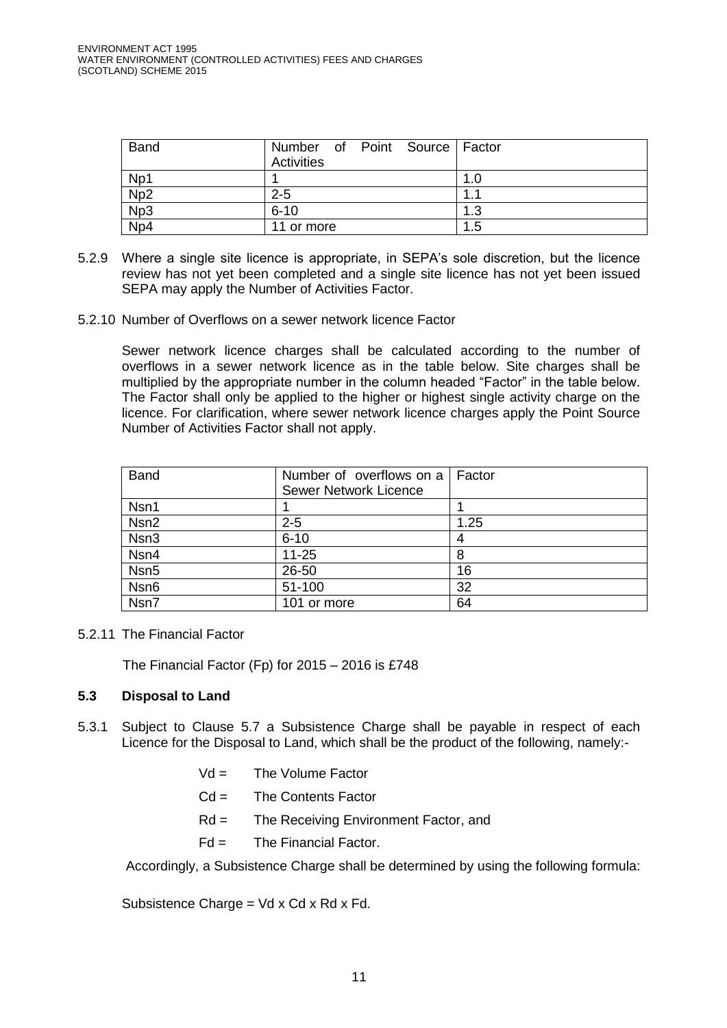| <b>Band</b>     | Number of Point Source Factor<br>Activities |     |
|-----------------|---------------------------------------------|-----|
| Np1             |                                             | 1.0 |
| Np2             | $2 - 5$                                     |     |
| Np <sub>3</sub> | $6 - 10$                                    | 1.3 |
| Np4             | 11 or more                                  | 1.5 |

- 5.2.9 Where a single site licence is appropriate, in SEPA's sole discretion, but the licence review has not yet been completed and a single site licence has not yet been issued SEPA may apply the Number of Activities Factor.
- 5.2.10 Number of Overflows on a sewer network licence Factor

Sewer network licence charges shall be calculated according to the number of overflows in a sewer network licence as in the table below. Site charges shall be multiplied by the appropriate number in the column headed "Factor" in the table below. The Factor shall only be applied to the higher or highest single activity charge on the licence. For clarification, where sewer network licence charges apply the Point Source Number of Activities Factor shall not apply.

| <b>Band</b>      | Number of overflows on a<br><b>Sewer Network Licence</b> | Factor |
|------------------|----------------------------------------------------------|--------|
| Nsn1             |                                                          |        |
| Nsn <sub>2</sub> | $2 - 5$                                                  | 1.25   |
| Nsn3             | $6 - 10$                                                 | 4      |
| Nsn4             | $11 - 25$                                                | 8      |
| Nsn <sub>5</sub> | 26-50                                                    | 16     |
| Nsn <sub>6</sub> | 51-100                                                   | 32     |
| Nsn7             | 101 or more                                              | 64     |

5.2.11 The Financial Factor

The Financial Factor (Fp) for 2015 – 2016 is £748

## **5.3 Disposal to Land**

- 5.3.1 Subject to Clause 5.7 a Subsistence Charge shall be payable in respect of each Licence for the Disposal to Land, which shall be the product of the following, namely:-
	- $Vd =$  The Volume Factor
	- $Cd =$  The Contents Factor
	- Rd = The Receiving Environment Factor, and
	- $Fd =$  The Financial Factor.

Accordingly, a Subsistence Charge shall be determined by using the following formula:

Subsistence Charge = Vd x Cd x Rd x Fd.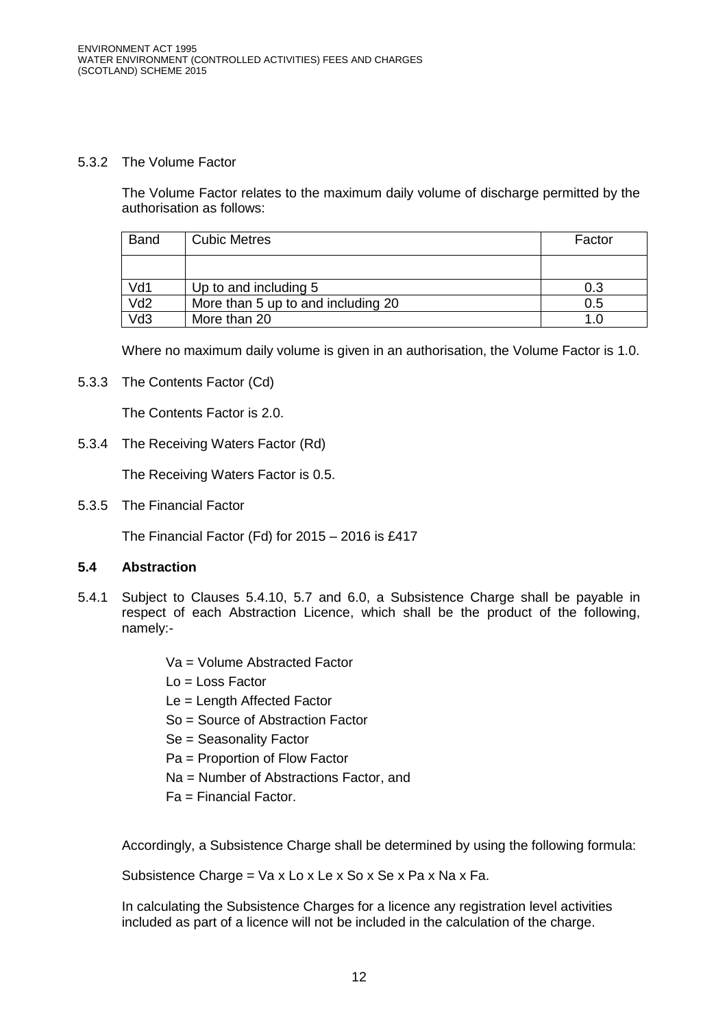#### 5.3.2 The Volume Factor

The Volume Factor relates to the maximum daily volume of discharge permitted by the authorisation as follows:

| <b>Band</b>     | <b>Cubic Metres</b>                | Factor |
|-----------------|------------------------------------|--------|
|                 |                                    |        |
| Vd1             | Up to and including 5              | 0.3    |
| Vd <sub>2</sub> | More than 5 up to and including 20 | 0.5    |
| Vd3             | More than 20                       |        |

Where no maximum daily volume is given in an authorisation, the Volume Factor is 1.0.

5.3.3 The Contents Factor (Cd)

The Contents Factor is 2.0.

5.3.4 The Receiving Waters Factor (Rd)

The Receiving Waters Factor is 0.5.

5.3.5 The Financial Factor

The Financial Factor (Fd) for 2015 – 2016 is £417

## **5.4 Abstraction**

- 5.4.1 Subject to Clauses 5.4.10, 5.7 and 6.0, a Subsistence Charge shall be payable in respect of each Abstraction Licence, which shall be the product of the following, namely:-
	- Va = Volume Abstracted Factor
	- Lo = Loss Factor
	- Le = Length Affected Factor
	- So = Source of Abstraction Factor
	- Se = Seasonality Factor
	- Pa = Proportion of Flow Factor
	- Na = Number of Abstractions Factor, and
	- Fa = Financial Factor.

Accordingly, a Subsistence Charge shall be determined by using the following formula:

Subsistence Charge = Va x Lo x Le x So x Se x Pa x Na x Fa.

In calculating the Subsistence Charges for a licence any registration level activities included as part of a licence will not be included in the calculation of the charge.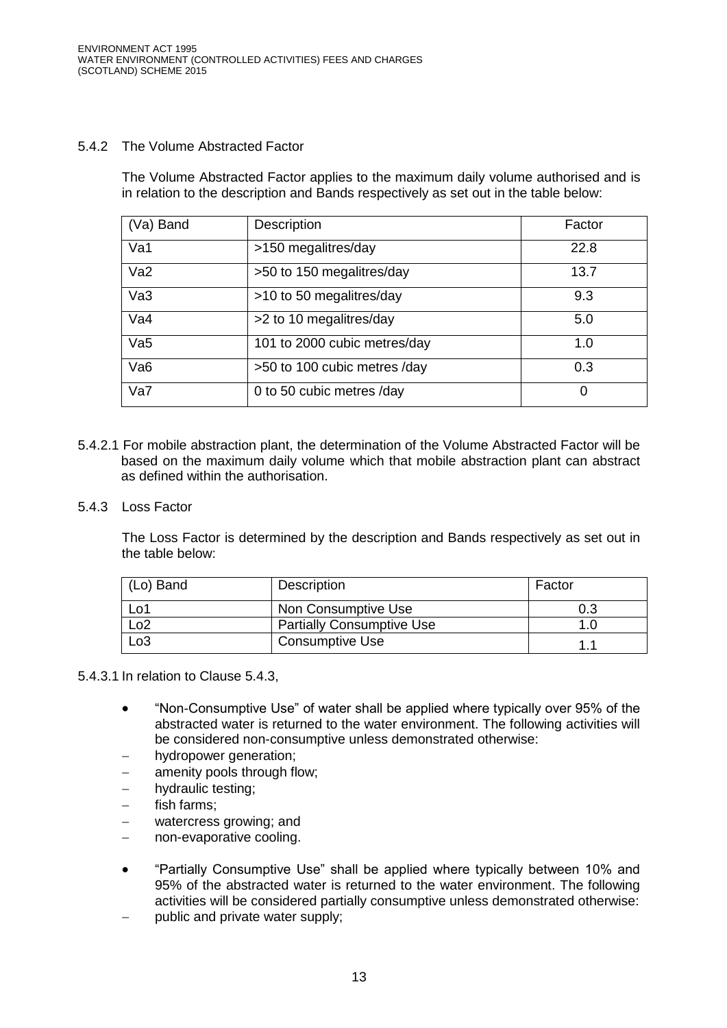## 5.4.2 The Volume Abstracted Factor

The Volume Abstracted Factor applies to the maximum daily volume authorised and is in relation to the description and Bands respectively as set out in the table below:

| (Va) Band       | <b>Description</b>           | Factor |
|-----------------|------------------------------|--------|
| Va1             | >150 megalitres/day          | 22.8   |
| Va2             | >50 to 150 megalitres/day    | 13.7   |
| Va <sub>3</sub> | >10 to 50 megalitres/day     | 9.3    |
| Va4             | >2 to 10 megalitres/day      | 5.0    |
| Va5             | 101 to 2000 cubic metres/day | 1.0    |
| Va <sub>6</sub> | >50 to 100 cubic metres /day | 0.3    |
| Va7             | 0 to 50 cubic metres /day    | 0      |

- 5.4.2.1 For mobile abstraction plant, the determination of the Volume Abstracted Factor will be based on the maximum daily volume which that mobile abstraction plant can abstract as defined within the authorisation.
- 5.4.3 Loss Factor

The Loss Factor is determined by the description and Bands respectively as set out in the table below:

| (Lo) Band        | Description                      | Factor |
|------------------|----------------------------------|--------|
| Lo1              | Non Consumptive Use              | 0.3    |
|                  | <b>Partially Consumptive Use</b> |        |
| L <sub>0</sub> 3 | <b>Consumptive Use</b>           | 1.     |

5.4.3.1 In relation to Clause 5.4.3,

- "Non-Consumptive Use" of water shall be applied where typically over 95% of the abstracted water is returned to the water environment. The following activities will be considered non-consumptive unless demonstrated otherwise:
- hydropower generation;
- amenity pools through flow;
- hydraulic testing;
- fish farms;
- watercress growing; and
- non-evaporative cooling.
- "Partially Consumptive Use" shall be applied where typically between 10% and 95% of the abstracted water is returned to the water environment. The following activities will be considered partially consumptive unless demonstrated otherwise:
- public and private water supply;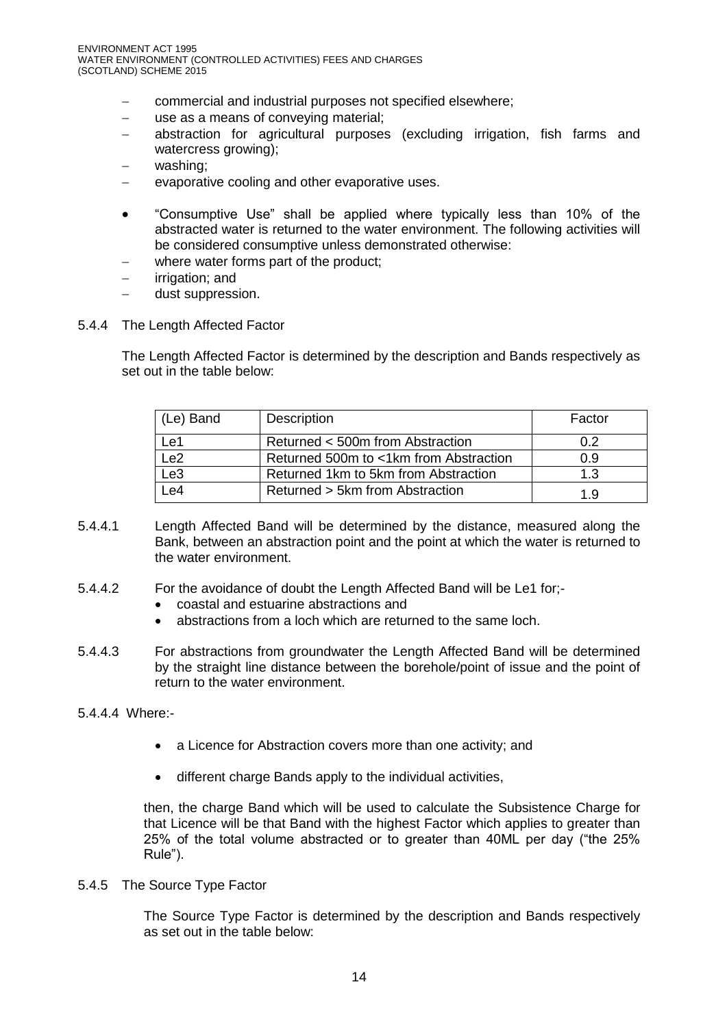- commercial and industrial purposes not specified elsewhere;
- use as a means of conveying material;
- abstraction for agricultural purposes (excluding irrigation, fish farms and watercress growing);
- washing;
- evaporative cooling and other evaporative uses.
- "Consumptive Use" shall be applied where typically less than 10% of the abstracted water is returned to the water environment. The following activities will be considered consumptive unless demonstrated otherwise:
- where water forms part of the product;
- irrigation; and
- dust suppression.
- 5.4.4 The Length Affected Factor

The Length Affected Factor is determined by the description and Bands respectively as set out in the table below:

| (Le) Band       | Description                            | Factor |
|-----------------|----------------------------------------|--------|
| Le1             | Returned < 500m from Abstraction       | 0.2    |
| Le <sub>2</sub> | Returned 500m to <1km from Abstraction | 0.9    |
| Le <sub>3</sub> | Returned 1km to 5km from Abstraction   | 1.3    |
| Le4             | Returned > 5km from Abstraction        | 1.9    |

- 5.4.4.1 Length Affected Band will be determined by the distance, measured along the Bank, between an abstraction point and the point at which the water is returned to the water environment.
- 5.4.4.2 For the avoidance of doubt the Length Affected Band will be Le1 for;
	- coastal and estuarine abstractions and
	- abstractions from a loch which are returned to the same loch.
- 5.4.4.3 For abstractions from groundwater the Length Affected Band will be determined by the straight line distance between the borehole/point of issue and the point of return to the water environment.

5.4.4.4 Where:-

- a Licence for Abstraction covers more than one activity; and
- different charge Bands apply to the individual activities,

then, the charge Band which will be used to calculate the Subsistence Charge for that Licence will be that Band with the highest Factor which applies to greater than 25% of the total volume abstracted or to greater than 40ML per day ("the 25% Rule").

5.4.5 The Source Type Factor

The Source Type Factor is determined by the description and Bands respectively as set out in the table below: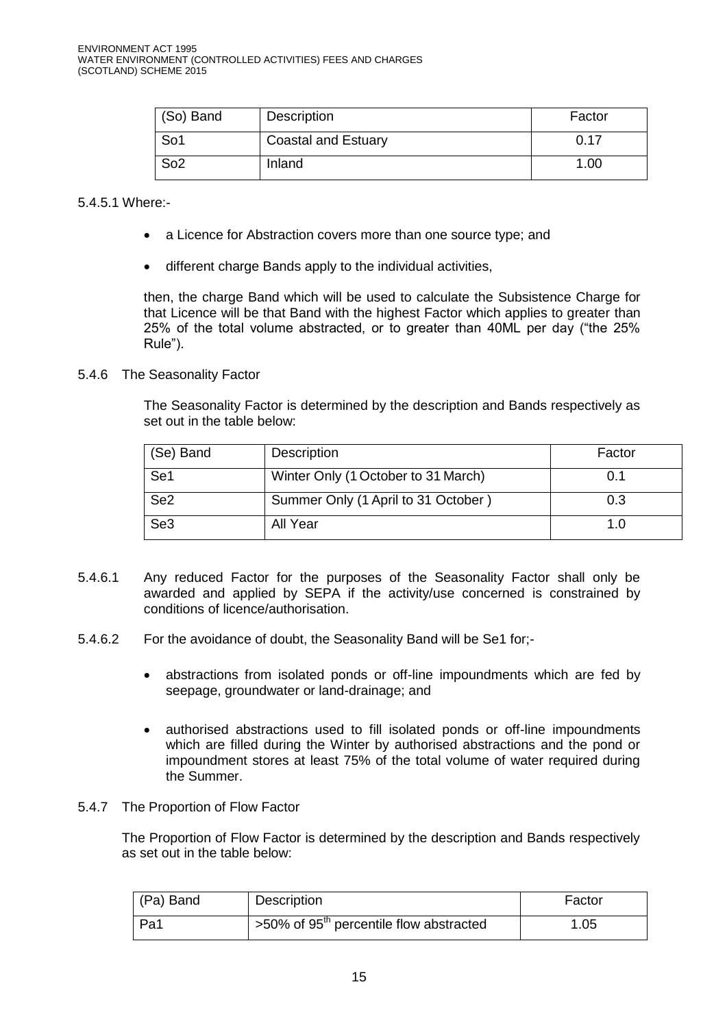| (So) Band       | Description                | Factor            |
|-----------------|----------------------------|-------------------|
| So <sub>1</sub> | <b>Coastal and Estuary</b> | 0.17              |
| So <sub>2</sub> | Inland                     | 1.00 <sub>1</sub> |

#### 5.4.5.1 Where:-

- a Licence for Abstraction covers more than one source type; and
- different charge Bands apply to the individual activities,

then, the charge Band which will be used to calculate the Subsistence Charge for that Licence will be that Band with the highest Factor which applies to greater than 25% of the total volume abstracted, or to greater than 40ML per day ("the 25% Rule").

### 5.4.6 The Seasonality Factor

The Seasonality Factor is determined by the description and Bands respectively as set out in the table below:

| (Se) Band       | Description                         | Factor |
|-----------------|-------------------------------------|--------|
| Se1             | Winter Only (1 October to 31 March) | 0.1    |
| Se <sub>2</sub> | Summer Only (1 April to 31 October) | 0.3    |
| Se <sub>3</sub> | All Year                            | 1.0    |

- 5.4.6.1 Any reduced Factor for the purposes of the Seasonality Factor shall only be awarded and applied by SEPA if the activity/use concerned is constrained by conditions of licence/authorisation.
- 5.4.6.2 For the avoidance of doubt, the Seasonality Band will be Se1 for;
	- abstractions from isolated ponds or off-line impoundments which are fed by seepage, groundwater or land-drainage; and
	- authorised abstractions used to fill isolated ponds or off-line impoundments which are filled during the Winter by authorised abstractions and the pond or impoundment stores at least 75% of the total volume of water required during the Summer.
- 5.4.7 The Proportion of Flow Factor

The Proportion of Flow Factor is determined by the description and Bands respectively as set out in the table below:

| (Pa) Band | Description                                         | Factor |
|-----------|-----------------------------------------------------|--------|
| Pa1       | >50% of 95 <sup>th</sup> percentile flow abstracted | 1.05   |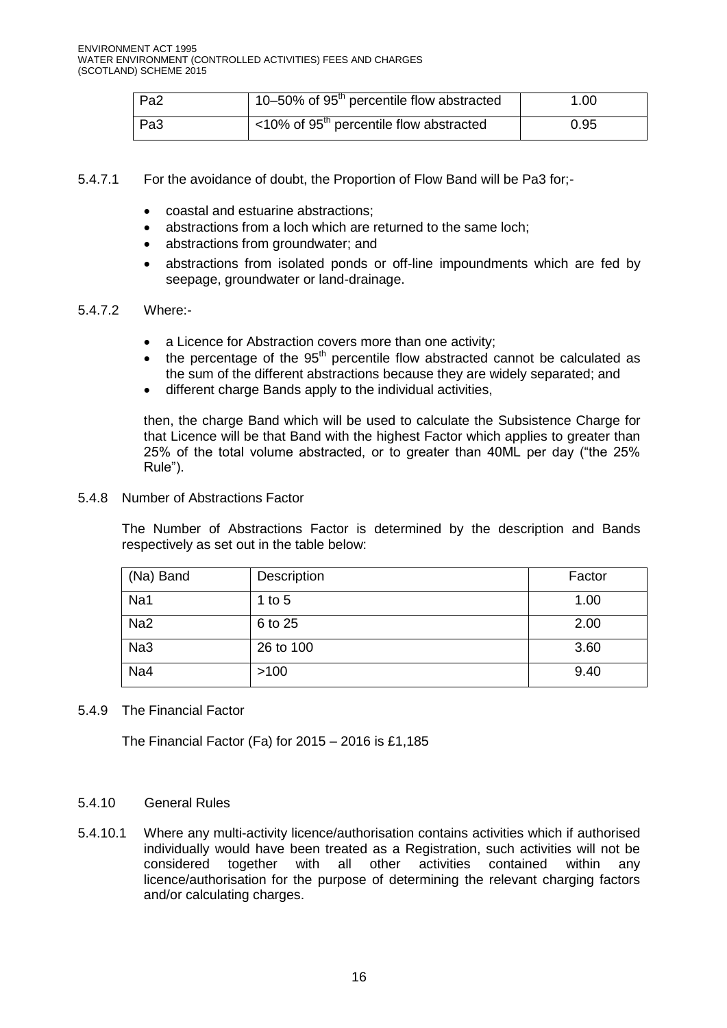| Pa <sub>2</sub> | 10–50% of 95 <sup>th</sup> percentile flow abstracted  | 1.00 |
|-----------------|--------------------------------------------------------|------|
| Pa <sub>3</sub> | $<$ 10% of 95 <sup>th</sup> percentile flow abstracted | 0.95 |

- 5.4.7.1 For the avoidance of doubt, the Proportion of Flow Band will be Pa3 for;
	- coastal and estuarine abstractions;
	- abstractions from a loch which are returned to the same loch;
	- abstractions from groundwater: and
	- abstractions from isolated ponds or off-line impoundments which are fed by seepage, groundwater or land-drainage.

#### 5.4.7.2 Where:-

- a Licence for Abstraction covers more than one activity;
- the percentage of the  $95<sup>th</sup>$  percentile flow abstracted cannot be calculated as the sum of the different abstractions because they are widely separated; and
- different charge Bands apply to the individual activities,

then, the charge Band which will be used to calculate the Subsistence Charge for that Licence will be that Band with the highest Factor which applies to greater than 25% of the total volume abstracted, or to greater than 40ML per day ("the 25% Rule").

#### 5.4.8 Number of Abstractions Factor

The Number of Abstractions Factor is determined by the description and Bands respectively as set out in the table below:

| (Na) Band       | Description | Factor |
|-----------------|-------------|--------|
| Na1             | 1 to $5$    | 1.00   |
| Na <sub>2</sub> | 6 to 25     | 2.00   |
| Na <sub>3</sub> | 26 to 100   | 3.60   |
| Na4             | >100        | 9.40   |

#### 5.4.9 The Financial Factor

The Financial Factor (Fa) for 2015 – 2016 is £1,185

#### 5.4.10 General Rules

5.4.10.1 Where any multi-activity licence/authorisation contains activities which if authorised individually would have been treated as a Registration, such activities will not be considered together with all other activities contained within any licence/authorisation for the purpose of determining the relevant charging factors and/or calculating charges.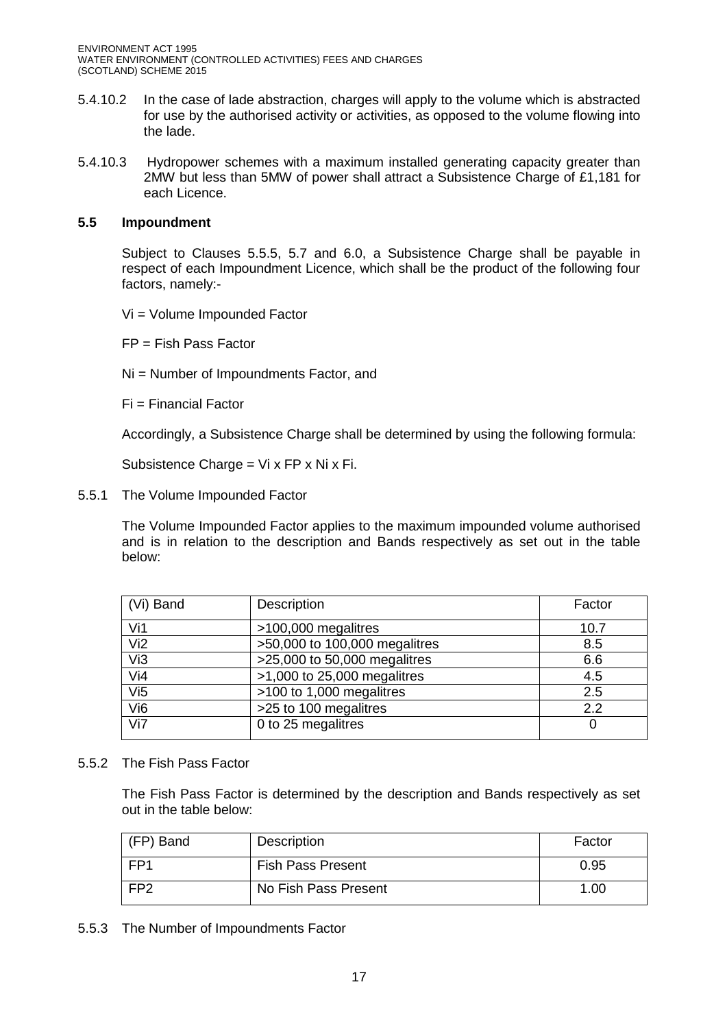ENVIRONMENT ACT 1995 WATER ENVIRONMENT (CONTROLLED ACTIVITIES) FEES AND CHARGES (SCOTLAND) SCHEME 2015

- 5.4.10.2 In the case of lade abstraction, charges will apply to the volume which is abstracted for use by the authorised activity or activities, as opposed to the volume flowing into the lade.
- 5.4.10.3 Hydropower schemes with a maximum installed generating capacity greater than 2MW but less than 5MW of power shall attract a Subsistence Charge of £1,181 for each Licence.

### **5.5 Impoundment**

Subject to Clauses 5.5.5, 5.7 and 6.0, a Subsistence Charge shall be payable in respect of each Impoundment Licence, which shall be the product of the following four factors, namely:-

Vi = Volume Impounded Factor

 $FP = Fish Pass Factor$ 

Ni = Number of Impoundments Factor, and

Fi = Financial Factor

Accordingly, a Subsistence Charge shall be determined by using the following formula:

Subsistence Charge = Vi x FP x Ni x Fi.

5.5.1 The Volume Impounded Factor

The Volume Impounded Factor applies to the maximum impounded volume authorised and is in relation to the description and Bands respectively as set out in the table below:

| (Vi) Band       | Description                    | Factor |
|-----------------|--------------------------------|--------|
| Vi1             | >100,000 megalitres            | 10.7   |
| Vi <sub>2</sub> | $50,000$ to 100,000 megalitres | 8.5    |
| Vi3             | >25,000 to 50,000 megalitres   | 6.6    |
| Vi4             | $>1,000$ to 25,000 megalitres  | 4.5    |
| Vi5             | >100 to 1,000 megalitres       | 2.5    |
| Vi <sub>6</sub> | >25 to 100 megalitres          | 2.2    |
| Vi7             | 0 to 25 megalitres             |        |

5.5.2 The Fish Pass Factor

The Fish Pass Factor is determined by the description and Bands respectively as set out in the table below:

| (FP) Band       | Description              | Factor |
|-----------------|--------------------------|--------|
| FP <sub>1</sub> | <b>Fish Pass Present</b> | 0.95   |
| FP <sub>2</sub> | No Fish Pass Present     | 1.00   |

5.5.3 The Number of Impoundments Factor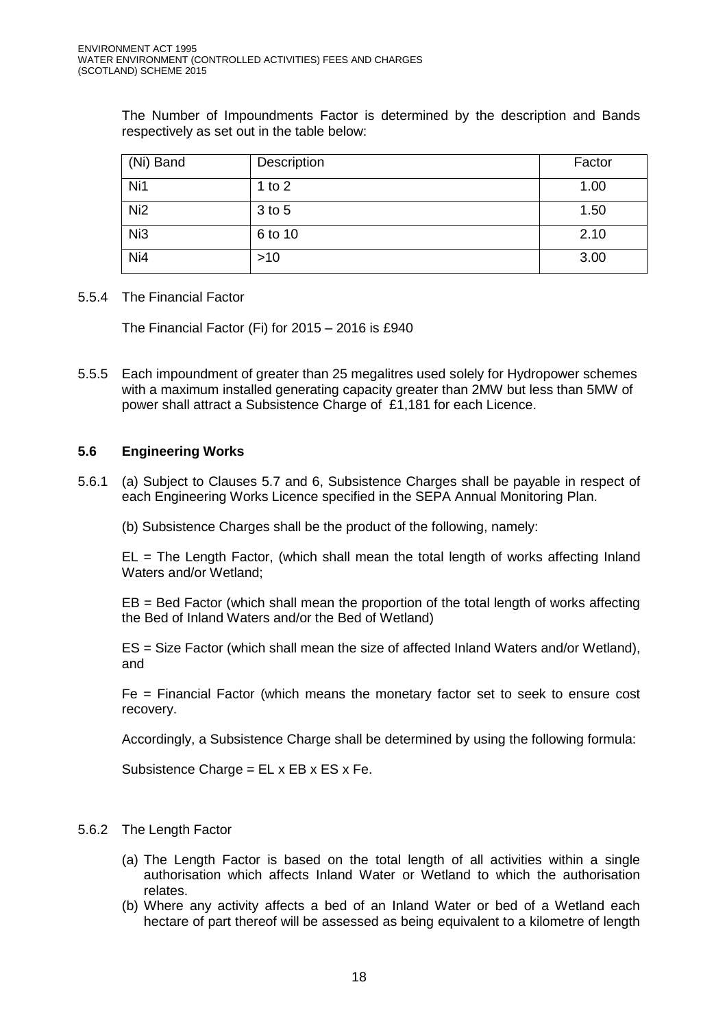The Number of Impoundments Factor is determined by the description and Bands respectively as set out in the table below:

| (Ni) Band       | Description | Factor |
|-----------------|-------------|--------|
| Ni1             | 1 to $2$    | 1.00   |
| Ni <sub>2</sub> | 3 to 5      | 1.50   |
| Ni <sub>3</sub> | 6 to 10     | 2.10   |
| Ni4             | $>10$       | 3.00   |

### 5.5.4 The Financial Factor

The Financial Factor (Fi) for 2015 – 2016 is £940

5.5.5 Each impoundment of greater than 25 megalitres used solely for Hydropower schemes with a maximum installed generating capacity greater than 2MW but less than 5MW of power shall attract a Subsistence Charge of £1,181 for each Licence.

## **5.6 Engineering Works**

- 5.6.1 (a) Subject to Clauses 5.7 and 6, Subsistence Charges shall be payable in respect of each Engineering Works Licence specified in the SEPA Annual Monitoring Plan.
	- (b) Subsistence Charges shall be the product of the following, namely:

 $EL = The Length Factor$ , (which shall mean the total length of works affecting Inland Waters and/or Wetland;

EB = Bed Factor (which shall mean the proportion of the total length of works affecting the Bed of Inland Waters and/or the Bed of Wetland)

ES = Size Factor (which shall mean the size of affected Inland Waters and/or Wetland), and

Fe = Financial Factor (which means the monetary factor set to seek to ensure cost recovery.

Accordingly, a Subsistence Charge shall be determined by using the following formula:

Subsistence Charge = EL x EB x ES x Fe.

- 5.6.2 The Length Factor
	- (a) The Length Factor is based on the total length of all activities within a single authorisation which affects Inland Water or Wetland to which the authorisation relates.
	- (b) Where any activity affects a bed of an Inland Water or bed of a Wetland each hectare of part thereof will be assessed as being equivalent to a kilometre of length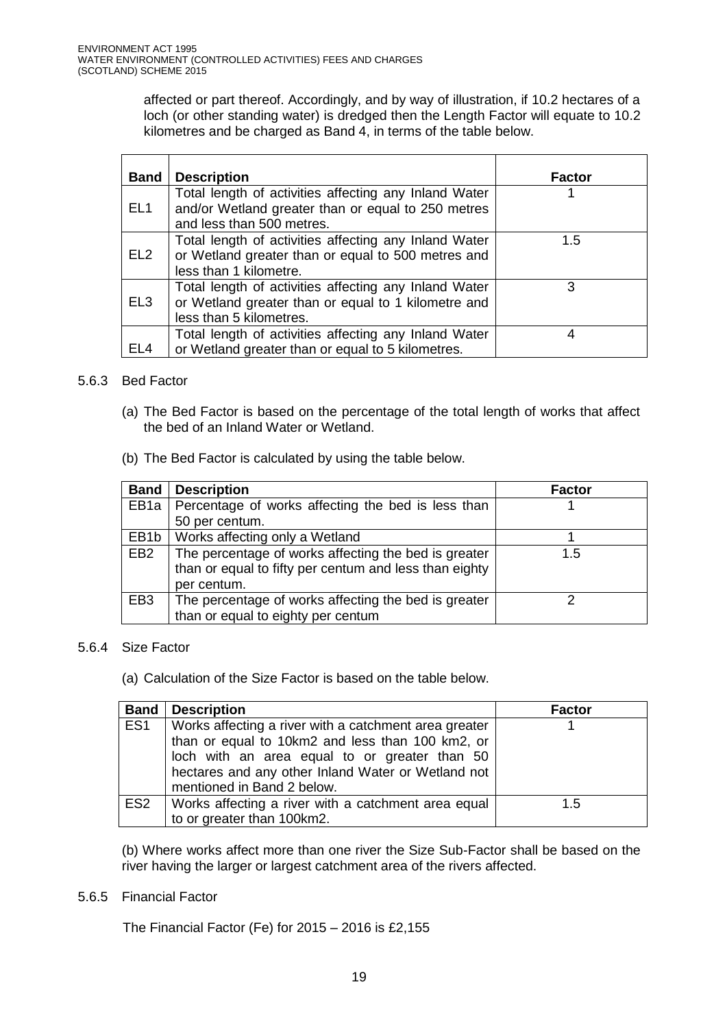affected or part thereof. Accordingly, and by way of illustration, if 10.2 hectares of a loch (or other standing water) is dredged then the Length Factor will equate to 10.2 kilometres and be charged as Band 4, in terms of the table below.

| <b>Band</b>     | <b>Description</b>                                                                                                                       | <b>Factor</b> |
|-----------------|------------------------------------------------------------------------------------------------------------------------------------------|---------------|
| EL <sub>1</sub> | Total length of activities affecting any Inland Water<br>and/or Wetland greater than or equal to 250 metres<br>and less than 500 metres. |               |
| EL <sub>2</sub> | Total length of activities affecting any Inland Water<br>or Wetland greater than or equal to 500 metres and<br>less than 1 kilometre.    | 1.5           |
| EL <sub>3</sub> | Total length of activities affecting any Inland Water<br>or Wetland greater than or equal to 1 kilometre and<br>less than 5 kilometres.  | 3             |
| EL <sub>4</sub> | Total length of activities affecting any Inland Water<br>or Wetland greater than or equal to 5 kilometres.                               | 4             |

## 5.6.3 Bed Factor

- (a) The Bed Factor is based on the percentage of the total length of works that affect the bed of an Inland Water or Wetland.
- (b) The Bed Factor is calculated by using the table below.

| <b>Band</b>       | <b>Description</b>                                     | <b>Factor</b> |
|-------------------|--------------------------------------------------------|---------------|
| EB <sub>1</sub> a | Percentage of works affecting the bed is less than     |               |
|                   | 50 per centum.                                         |               |
| EB1b              | Works affecting only a Wetland                         |               |
| EB <sub>2</sub>   | The percentage of works affecting the bed is greater   | 1.5           |
|                   | than or equal to fifty per centum and less than eighty |               |
|                   | per centum.                                            |               |
| EB <sub>3</sub>   | The percentage of works affecting the bed is greater   |               |
|                   | than or equal to eighty per centum                     |               |

#### 5.6.4 Size Factor

(a) Calculation of the Size Factor is based on the table below.

|                 | <b>Band   Description</b>                             | <b>Factor</b> |
|-----------------|-------------------------------------------------------|---------------|
| ES <sub>1</sub> | Works affecting a river with a catchment area greater |               |
|                 | than or equal to 10km2 and less than 100 km2, or      |               |
|                 | loch with an area equal to or greater than 50         |               |
|                 | hectares and any other Inland Water or Wetland not    |               |
|                 | mentioned in Band 2 below.                            |               |
| ES <sub>2</sub> | Works affecting a river with a catchment area equal   | 1.5           |
|                 | to or greater than 100km2.                            |               |

 (b) Where works affect more than one river the Size Sub-Factor shall be based on the river having the larger or largest catchment area of the rivers affected.

#### 5.6.5 Financial Factor

The Financial Factor (Fe) for 2015 – 2016 is £2,155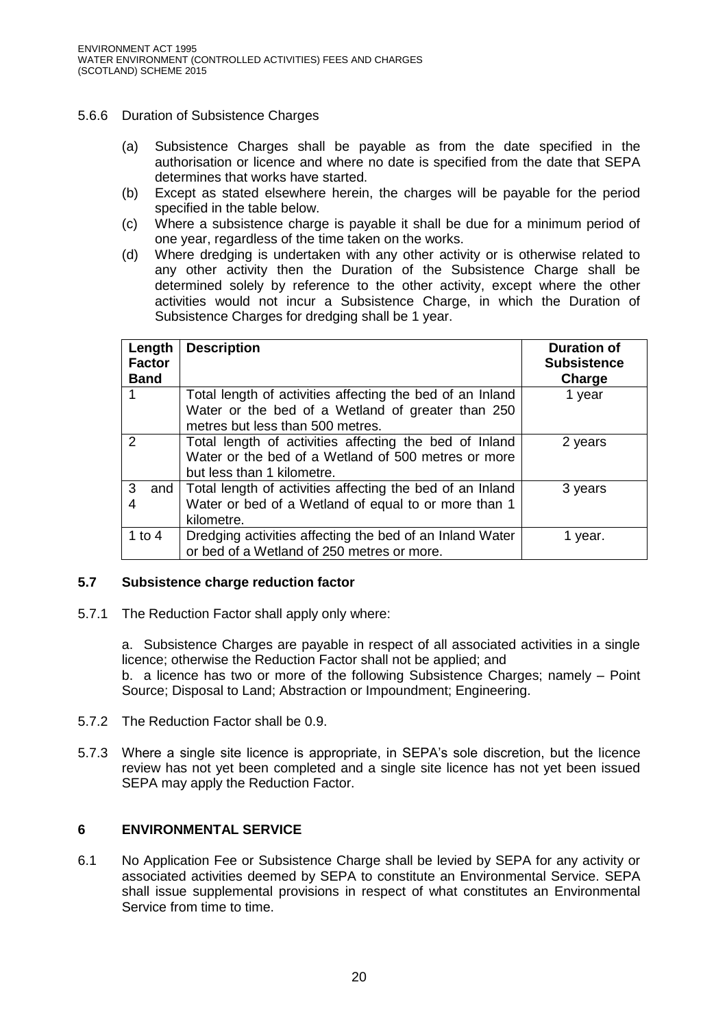## 5.6.6 Duration of Subsistence Charges

- (a) Subsistence Charges shall be payable as from the date specified in the authorisation or licence and where no date is specified from the date that SEPA determines that works have started.
- (b) Except as stated elsewhere herein, the charges will be payable for the period specified in the table below.
- (c) Where a subsistence charge is payable it shall be due for a minimum period of one year, regardless of the time taken on the works.
- (d) Where dredging is undertaken with any other activity or is otherwise related to any other activity then the Duration of the Subsistence Charge shall be determined solely by reference to the other activity, except where the other activities would not incur a Subsistence Charge, in which the Duration of Subsistence Charges for dredging shall be 1 year.

| Length<br><b>Factor</b><br><b>Band</b> | <b>Description</b>                                                                                                                                 | <b>Duration of</b><br><b>Subsistence</b><br>Charge |
|----------------------------------------|----------------------------------------------------------------------------------------------------------------------------------------------------|----------------------------------------------------|
|                                        | Total length of activities affecting the bed of an Inland<br>Water or the bed of a Wetland of greater than 250<br>metres but less than 500 metres. | 1 year                                             |
| $\overline{2}$                         | Total length of activities affecting the bed of Inland<br>Water or the bed of a Wetland of 500 metres or more<br>but less than 1 kilometre.        | 2 years                                            |
| 3<br>and  <br>4                        | Total length of activities affecting the bed of an Inland<br>Water or bed of a Wetland of equal to or more than 1<br>kilometre.                    | 3 years                                            |
| 1 to 4                                 | Dredging activities affecting the bed of an Inland Water<br>or bed of a Wetland of 250 metres or more.                                             | 1 year.                                            |

## **5.7 Subsistence charge reduction factor**

5.7.1 The Reduction Factor shall apply only where:

a. Subsistence Charges are payable in respect of all associated activities in a single licence; otherwise the Reduction Factor shall not be applied; and b. a licence has two or more of the following Subsistence Charges; namely – Point Source; Disposal to Land; Abstraction or Impoundment; Engineering.

- 5.7.2 The Reduction Factor shall be 0.9.
- 5.7.3 Where a single site licence is appropriate, in SEPA's sole discretion, but the licence review has not yet been completed and a single site licence has not yet been issued SEPA may apply the Reduction Factor.

# **6 ENVIRONMENTAL SERVICE**

6.1 No Application Fee or Subsistence Charge shall be levied by SEPA for any activity or associated activities deemed by SEPA to constitute an Environmental Service. SEPA shall issue supplemental provisions in respect of what constitutes an Environmental Service from time to time.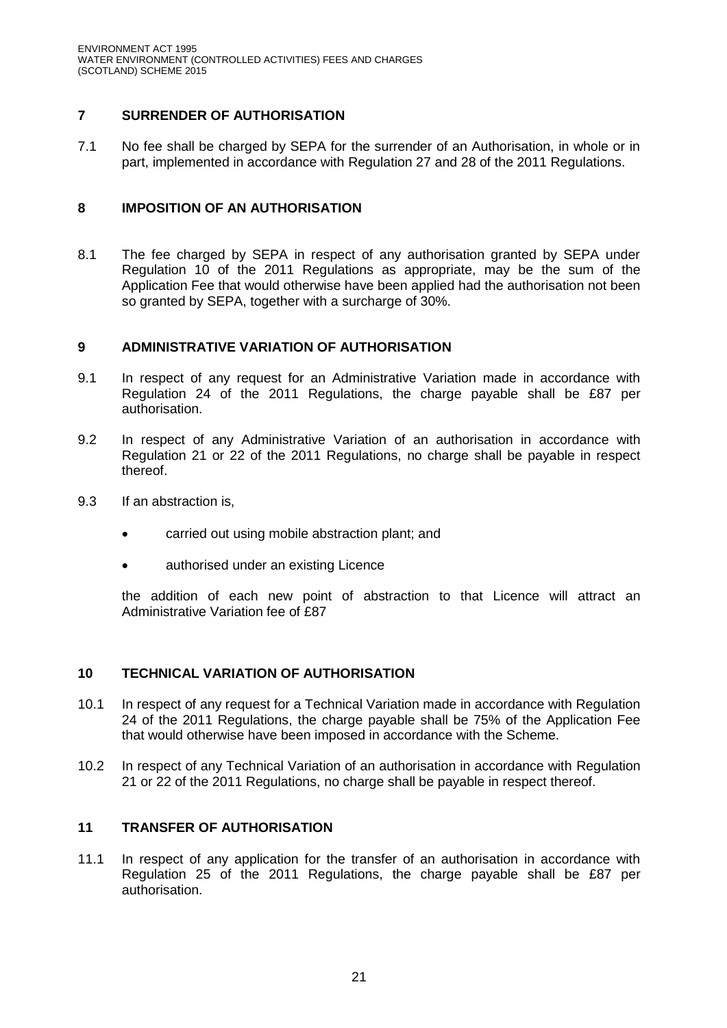# **7 SURRENDER OF AUTHORISATION**

7.1 No fee shall be charged by SEPA for the surrender of an Authorisation, in whole or in part, implemented in accordance with Regulation 27 and 28 of the 2011 Regulations.

# **8 IMPOSITION OF AN AUTHORISATION**

8.1 The fee charged by SEPA in respect of any authorisation granted by SEPA under Regulation 10 of the 2011 Regulations as appropriate, may be the sum of the Application Fee that would otherwise have been applied had the authorisation not been so granted by SEPA, together with a surcharge of 30%.

# **9 ADMINISTRATIVE VARIATION OF AUTHORISATION**

- 9.1 In respect of any request for an Administrative Variation made in accordance with Regulation 24 of the 2011 Regulations, the charge payable shall be £87 per authorisation.
- 9.2 In respect of any Administrative Variation of an authorisation in accordance with Regulation 21 or 22 of the 2011 Regulations, no charge shall be payable in respect thereof.
- 9.3 If an abstraction is,
	- carried out using mobile abstraction plant; and
	- authorised under an existing Licence

the addition of each new point of abstraction to that Licence will attract an Administrative Variation fee of £87

# **10 TECHNICAL VARIATION OF AUTHORISATION**

- 10.1 In respect of any request for a Technical Variation made in accordance with Regulation 24 of the 2011 Regulations, the charge payable shall be 75% of the Application Fee that would otherwise have been imposed in accordance with the Scheme.
- 10.2 In respect of any Technical Variation of an authorisation in accordance with Regulation 21 or 22 of the 2011 Regulations, no charge shall be payable in respect thereof.

# **11 TRANSFER OF AUTHORISATION**

11.1 In respect of any application for the transfer of an authorisation in accordance with Regulation 25 of the 2011 Regulations, the charge payable shall be £87 per authorisation.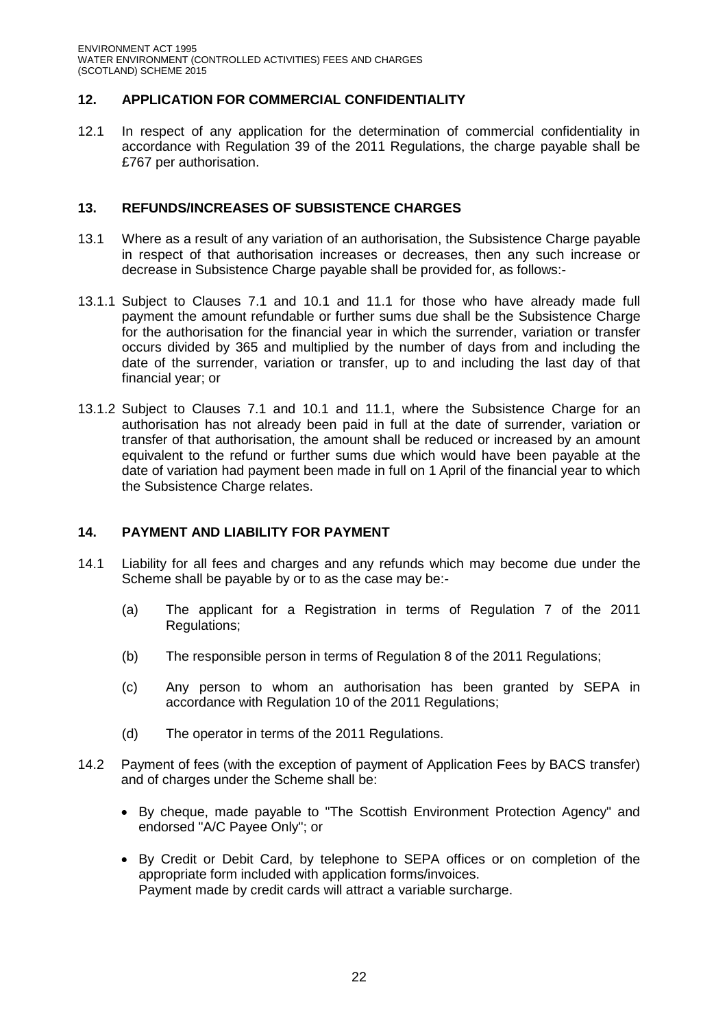# **12. APPLICATION FOR COMMERCIAL CONFIDENTIALITY**

12.1 In respect of any application for the determination of commercial confidentiality in accordance with Regulation 39 of the 2011 Regulations, the charge payable shall be £767 per authorisation.

## **13. REFUNDS/INCREASES OF SUBSISTENCE CHARGES**

- 13.1 Where as a result of any variation of an authorisation, the Subsistence Charge payable in respect of that authorisation increases or decreases, then any such increase or decrease in Subsistence Charge payable shall be provided for, as follows:-
- 13.1.1 Subject to Clauses 7.1 and 10.1 and 11.1 for those who have already made full payment the amount refundable or further sums due shall be the Subsistence Charge for the authorisation for the financial year in which the surrender, variation or transfer occurs divided by 365 and multiplied by the number of days from and including the date of the surrender, variation or transfer, up to and including the last day of that financial year; or
- 13.1.2 Subject to Clauses 7.1 and 10.1 and 11.1, where the Subsistence Charge for an authorisation has not already been paid in full at the date of surrender, variation or transfer of that authorisation, the amount shall be reduced or increased by an amount equivalent to the refund or further sums due which would have been payable at the date of variation had payment been made in full on 1 April of the financial year to which the Subsistence Charge relates.

## **14. PAYMENT AND LIABILITY FOR PAYMENT**

- 14.1 Liability for all fees and charges and any refunds which may become due under the Scheme shall be payable by or to as the case may be:-
	- (a) The applicant for a Registration in terms of Regulation 7 of the 2011 Regulations;
	- (b) The responsible person in terms of Regulation 8 of the 2011 Regulations;
	- (c) Any person to whom an authorisation has been granted by SEPA in accordance with Regulation 10 of the 2011 Regulations;
	- (d) The operator in terms of the 2011 Regulations.
- 14.2 Payment of fees (with the exception of payment of Application Fees by BACS transfer) and of charges under the Scheme shall be:
	- By cheque, made payable to "The Scottish Environment Protection Agency" and endorsed "A/C Payee Only"; or
	- By Credit or Debit Card, by telephone to SEPA offices or on completion of the appropriate form included with application forms/invoices. Payment made by credit cards will attract a variable surcharge.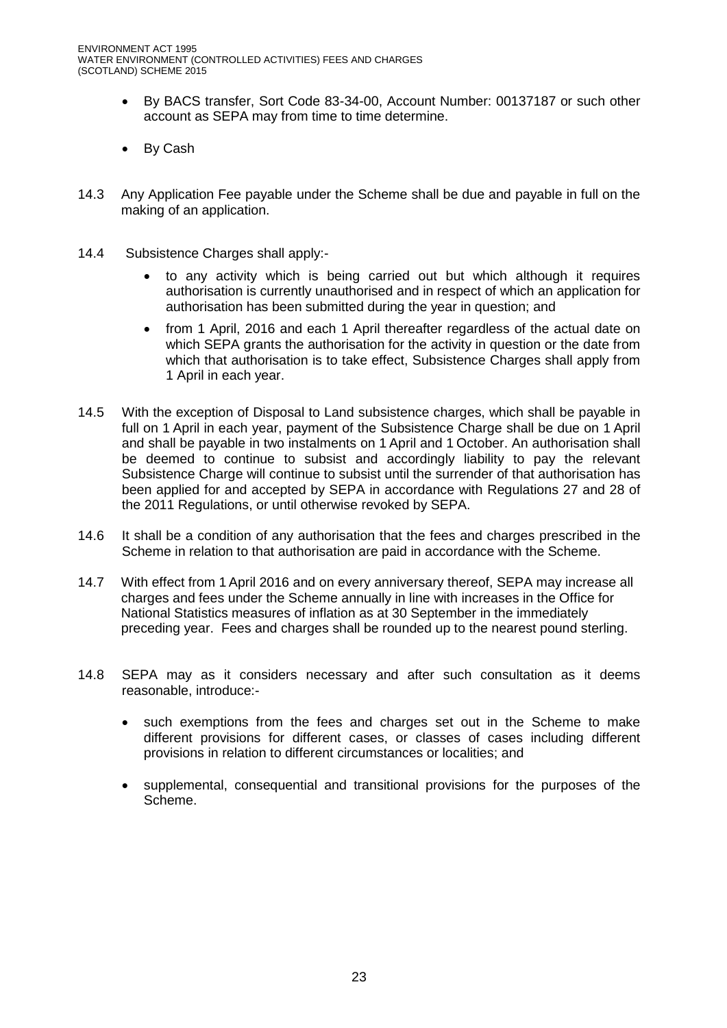- By BACS transfer, Sort Code 83-34-00, Account Number: 00137187 or such other account as SEPA may from time to time determine.
- By Cash
- 14.3 Any Application Fee payable under the Scheme shall be due and payable in full on the making of an application.
- 14.4 Subsistence Charges shall apply:
	- to any activity which is being carried out but which although it requires authorisation is currently unauthorised and in respect of which an application for authorisation has been submitted during the year in question; and
	- from 1 April, 2016 and each 1 April thereafter regardless of the actual date on which SEPA grants the authorisation for the activity in question or the date from which that authorisation is to take effect, Subsistence Charges shall apply from 1 April in each year.
- 14.5 With the exception of Disposal to Land subsistence charges, which shall be payable in full on 1 April in each year, payment of the Subsistence Charge shall be due on 1 April and shall be payable in two instalments on 1 April and 1 October. An authorisation shall be deemed to continue to subsist and accordingly liability to pay the relevant Subsistence Charge will continue to subsist until the surrender of that authorisation has been applied for and accepted by SEPA in accordance with Regulations 27 and 28 of the 2011 Regulations, or until otherwise revoked by SEPA.
- 14.6 It shall be a condition of any authorisation that the fees and charges prescribed in the Scheme in relation to that authorisation are paid in accordance with the Scheme.
- 14.7 With effect from 1 April 2016 and on every anniversary thereof, SEPA may increase all charges and fees under the Scheme annually in line with increases in the Office for National Statistics measures of inflation as at 30 September in the immediately preceding year. Fees and charges shall be rounded up to the nearest pound sterling.
- 14.8 SEPA may as it considers necessary and after such consultation as it deems reasonable, introduce:
	- such exemptions from the fees and charges set out in the Scheme to make different provisions for different cases, or classes of cases including different provisions in relation to different circumstances or localities; and
	- supplemental, consequential and transitional provisions for the purposes of the Scheme.